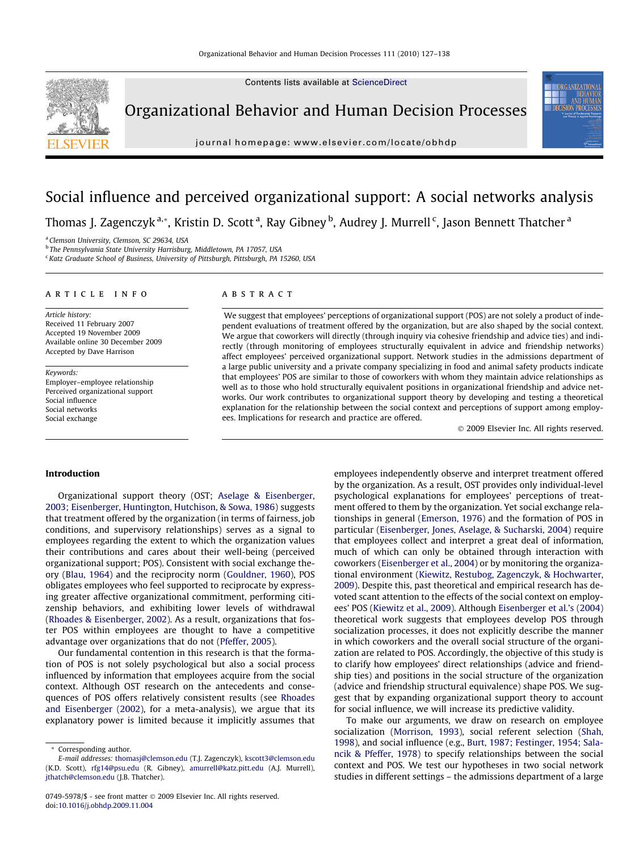Contents lists available at [ScienceDirect](http://www.sciencedirect.com/science/journal/07495978)



Organizational Behavior and Human Decision Processes

journal homepage: [www.elsevier.com/locate/obhdp](http://www.elsevier.com/locate/obhdp)



# Social influence and perceived organizational support: A social networks analysis

Thomas J. Zagenczyk <sup>a,</sup>\*, Kristin D. Scott <sup>a</sup>, Ray Gibney <sup>b</sup>, Audrey J. Murrell <sup>c</sup>, Jason Bennett Thatcher <sup>a</sup>

<sup>a</sup> Clemson University, Clemson, SC 29634, USA

<sup>b</sup> The Pennsylvania State University Harrisburg, Middletown, PA 17057, USA

<sup>c</sup> Katz Graduate School of Business, University of Pittsburgh, Pittsburgh, PA 15260, USA

# article info

Article history: Received 11 February 2007 Accepted 19 November 2009 Available online 30 December 2009 Accepted by Dave Harrison

Keywords: Employer–employee relationship Perceived organizational support Social influence Social networks Social exchange

# ABSTRACT

We suggest that employees' perceptions of organizational support (POS) are not solely a product of independent evaluations of treatment offered by the organization, but are also shaped by the social context. We argue that coworkers will directly (through inquiry via cohesive friendship and advice ties) and indirectly (through monitoring of employees structurally equivalent in advice and friendship networks) affect employees' perceived organizational support. Network studies in the admissions department of a large public university and a private company specializing in food and animal safety products indicate that employees' POS are similar to those of coworkers with whom they maintain advice relationships as well as to those who hold structurally equivalent positions in organizational friendship and advice networks. Our work contributes to organizational support theory by developing and testing a theoretical explanation for the relationship between the social context and perceptions of support among employees. Implications for research and practice are offered.

- 2009 Elsevier Inc. All rights reserved.

### Introduction

Organizational support theory (OST; [Aselage & Eisenberger,](#page-10-0) [2003; Eisenberger, Huntington, Hutchison, & Sowa, 1986](#page-10-0)) suggests that treatment offered by the organization (in terms of fairness, job conditions, and supervisory relationships) serves as a signal to employees regarding the extent to which the organization values their contributions and cares about their well-being (perceived organizational support; POS). Consistent with social exchange theory [\(Blau, 1964\)](#page-10-0) and the reciprocity norm ([Gouldner, 1960\)](#page-10-0), POS obligates employees who feel supported to reciprocate by expressing greater affective organizational commitment, performing citizenship behaviors, and exhibiting lower levels of withdrawal ([Rhoades & Eisenberger, 2002\)](#page-11-0). As a result, organizations that foster POS within employees are thought to have a competitive advantage over organizations that do not [\(Pfeffer, 2005](#page-11-0)).

Our fundamental contention in this research is that the formation of POS is not solely psychological but also a social process influenced by information that employees acquire from the social context. Although OST research on the antecedents and consequences of POS offers relatively consistent results (see [Rhoades](#page-11-0) [and Eisenberger \(2002\),](#page-11-0) for a meta-analysis), we argue that its explanatory power is limited because it implicitly assumes that employees independently observe and interpret treatment offered by the organization. As a result, OST provides only individual-level psychological explanations for employees' perceptions of treatment offered to them by the organization. Yet social exchange relationships in general ([Emerson, 1976\)](#page-10-0) and the formation of POS in particular [\(Eisenberger, Jones, Aselage, & Sucharski, 2004](#page-10-0)) require that employees collect and interpret a great deal of information, much of which can only be obtained through interaction with coworkers ([Eisenberger et al., 2004](#page-10-0)) or by monitoring the organizational environment ([Kiewitz, Restubog, Zagenczyk, & Hochwarter,](#page-11-0) [2009](#page-11-0)). Despite this, past theoretical and empirical research has devoted scant attention to the effects of the social context on employees' POS [\(Kiewitz et al., 2009](#page-11-0)). Although [Eisenberger et al.'s \(2004\)](#page-10-0) theoretical work suggests that employees develop POS through socialization processes, it does not explicitly describe the manner in which coworkers and the overall social structure of the organization are related to POS. Accordingly, the objective of this study is to clarify how employees' direct relationships (advice and friendship ties) and positions in the social structure of the organization (advice and friendship structural equivalence) shape POS. We suggest that by expanding organizational support theory to account for social influence, we will increase its predictive validity.

To make our arguments, we draw on research on employee socialization [\(Morrison, 1993\)](#page-11-0), social referent selection [\(Shah,](#page-11-0) [1998\)](#page-11-0), and social influence (e.g., [Burt, 1987; Festinger, 1954; Sala](#page-10-0)[ncik & Pfeffer, 1978](#page-10-0)) to specify relationships between the social context and POS. We test our hypotheses in two social network studies in different settings – the admissions department of a large

Corresponding author. E-mail addresses: [thomasj@clemson.edu](mailto:thomasj@clemson.edu) (T.J. Zagenczyk), [kscott3@clemson.edu](mailto:kscott3@clemson.edu) (K.D. Scott), [rfg14@psu.edu](mailto:rfg14@psu.edu) (R. Gibney), [amurrell@katz.pitt.edu](mailto:amurrell@katz.pitt.edu) (A.J. Murrell), [jthatch@clemson.edu](mailto:jthatch@clemson.edu) (J.B. Thatcher).

<sup>0749-5978/\$ -</sup> see front matter © 2009 Elsevier Inc. All rights reserved. doi[:10.1016/j.obhdp.2009.11.004](http://dx.doi.org/10.1016/j.obhdp.2009.11.004)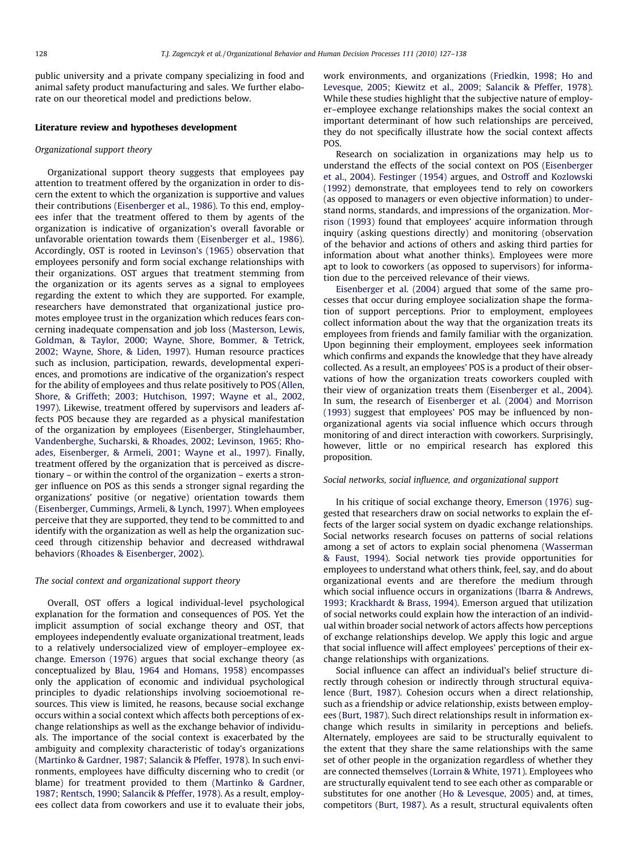public university and a private company specializing in food and animal safety product manufacturing and sales. We further elaborate on our theoretical model and predictions below.

# Literature review and hypotheses development

# Organizational support theory

Organizational support theory suggests that employees pay attention to treatment offered by the organization in order to discern the extent to which the organization is supportive and values their contributions [\(Eisenberger et al., 1986](#page-10-0)). To this end, employees infer that the treatment offered to them by agents of the organization is indicative of organization's overall favorable or unfavorable orientation towards them [\(Eisenberger et al., 1986\)](#page-10-0). Accordingly, OST is rooted in [Levinson's \(1965\)](#page-11-0) observation that employees personify and form social exchange relationships with their organizations. OST argues that treatment stemming from the organization or its agents serves as a signal to employees regarding the extent to which they are supported. For example, researchers have demonstrated that organizational justice promotes employee trust in the organization which reduces fears concerning inadequate compensation and job loss [\(Masterson, Lewis,](#page-11-0) [Goldman, & Taylor, 2000; Wayne, Shore, Bommer, & Tetrick,](#page-11-0) [2002; Wayne, Shore, & Liden, 1997](#page-11-0)). Human resource practices such as inclusion, participation, rewards, developmental experiences, and promotions are indicative of the organization's respect for the ability of employees and thus relate positively to POS [\(Allen,](#page-10-0) [Shore, & Griffeth; 2003; Hutchison, 1997; Wayne et al., 2002,](#page-10-0) [1997\)](#page-10-0). Likewise, treatment offered by supervisors and leaders affects POS because they are regarded as a physical manifestation of the organization by employees ([Eisenberger, Stinglehaumber,](#page-10-0) [Vandenberghe, Sucharski, & Rhoades, 2002; Levinson, 1965; Rho](#page-10-0)[ades, Eisenberger, & Armeli, 2001; Wayne et al., 1997\)](#page-10-0). Finally, treatment offered by the organization that is perceived as discretionary – or within the control of the organization – exerts a stronger influence on POS as this sends a stronger signal regarding the organizations' positive (or negative) orientation towards them ([Eisenberger, Cummings, Armeli, & Lynch, 1997](#page-10-0)). When employees perceive that they are supported, they tend to be committed to and identify with the organization as well as help the organization succeed through citizenship behavior and decreased withdrawal behaviors [\(Rhoades & Eisenberger, 2002](#page-11-0)).

# The social context and organizational support theory

Overall, OST offers a logical individual-level psychological explanation for the formation and consequences of POS. Yet the implicit assumption of social exchange theory and OST, that employees independently evaluate organizational treatment, leads to a relatively undersocialized view of employer–employee exchange. [Emerson \(1976\)](#page-10-0) argues that social exchange theory (as conceptualized by [Blau, 1964 and Homans, 1958](#page-10-0)) encompasses only the application of economic and individual psychological principles to dyadic relationships involving socioemotional resources. This view is limited, he reasons, because social exchange occurs within a social context which affects both perceptions of exchange relationships as well as the exchange behavior of individuals. The importance of the social context is exacerbated by the ambiguity and complexity characteristic of today's organizations ([Martinko & Gardner, 1987; Salancik & Pfeffer, 1978](#page-11-0)). In such environments, employees have difficulty discerning who to credit (or blame) for treatment provided to them ([Martinko & Gardner,](#page-11-0) [1987; Rentsch, 1990; Salancik & Pfeffer, 1978](#page-11-0)). As a result, employees collect data from coworkers and use it to evaluate their jobs,

work environments, and organizations [\(Friedkin, 1998; Ho and](#page-10-0) [Levesque, 2005; Kiewitz et al., 2009; Salancik & Pfeffer, 1978\)](#page-10-0). While these studies highlight that the subjective nature of employer–employee exchange relationships makes the social context an important determinant of how such relationships are perceived, they do not specifically illustrate how the social context affects POS.

Research on socialization in organizations may help us to understand the effects of the social context on POS ([Eisenberger](#page-10-0) [et al., 2004](#page-10-0)). [Festinger \(1954\)](#page-10-0) argues, and [Ostroff and Kozlowski](#page-11-0) [\(1992\)](#page-11-0) demonstrate, that employees tend to rely on coworkers (as opposed to managers or even objective information) to understand norms, standards, and impressions of the organization. [Mor](#page-11-0)[rison \(1993\)](#page-11-0) found that employees' acquire information through inquiry (asking questions directly) and monitoring (observation of the behavior and actions of others and asking third parties for information about what another thinks). Employees were more apt to look to coworkers (as opposed to supervisors) for information due to the perceived relevance of their views.

[Eisenberger et al. \(2004\)](#page-10-0) argued that some of the same processes that occur during employee socialization shape the formation of support perceptions. Prior to employment, employees collect information about the way that the organization treats its employees from friends and family familiar with the organization. Upon beginning their employment, employees seek information which confirms and expands the knowledge that they have already collected. As a result, an employees' POS is a product of their observations of how the organization treats coworkers coupled with their view of organization treats them ([Eisenberger et al., 2004\)](#page-10-0). In sum, the research of [Eisenberger et al. \(2004\) and Morrison](#page-10-0) [\(1993\)](#page-10-0) suggest that employees' POS may be influenced by nonorganizational agents via social influence which occurs through monitoring of and direct interaction with coworkers. Surprisingly, however, little or no empirical research has explored this proposition.

## Social networks, social influence, and organizational support

In his critique of social exchange theory, [Emerson \(1976\)](#page-10-0) suggested that researchers draw on social networks to explain the effects of the larger social system on dyadic exchange relationships. Social networks research focuses on patterns of social relations among a set of actors to explain social phenomena [\(Wasserman](#page-11-0) [& Faust, 1994\)](#page-11-0). Social network ties provide opportunities for employees to understand what others think, feel, say, and do about organizational events and are therefore the medium through which social influence occurs in organizations ([Ibarra & Andrews,](#page-11-0) [1993; Krackhardt & Brass, 1994](#page-11-0)). Emerson argued that utilization of social networks could explain how the interaction of an individual within broader social network of actors affects how perceptions of exchange relationships develop. We apply this logic and argue that social influence will affect employees' perceptions of their exchange relationships with organizations.

Social influence can affect an individual's belief structure directly through cohesion or indirectly through structural equivalence ([Burt, 1987](#page-10-0)). Cohesion occurs when a direct relationship, such as a friendship or advice relationship, exists between employees [\(Burt, 1987](#page-10-0)). Such direct relationships result in information exchange which results in similarity in perceptions and beliefs. Alternately, employees are said to be structurally equivalent to the extent that they share the same relationships with the same set of other people in the organization regardless of whether they are connected themselves ([Lorrain & White, 1971\)](#page-11-0). Employees who are structurally equivalent tend to see each other as comparable or substitutes for one another ([Ho & Levesque, 2005](#page-11-0)) and, at times, competitors [\(Burt, 1987](#page-10-0)). As a result, structural equivalents often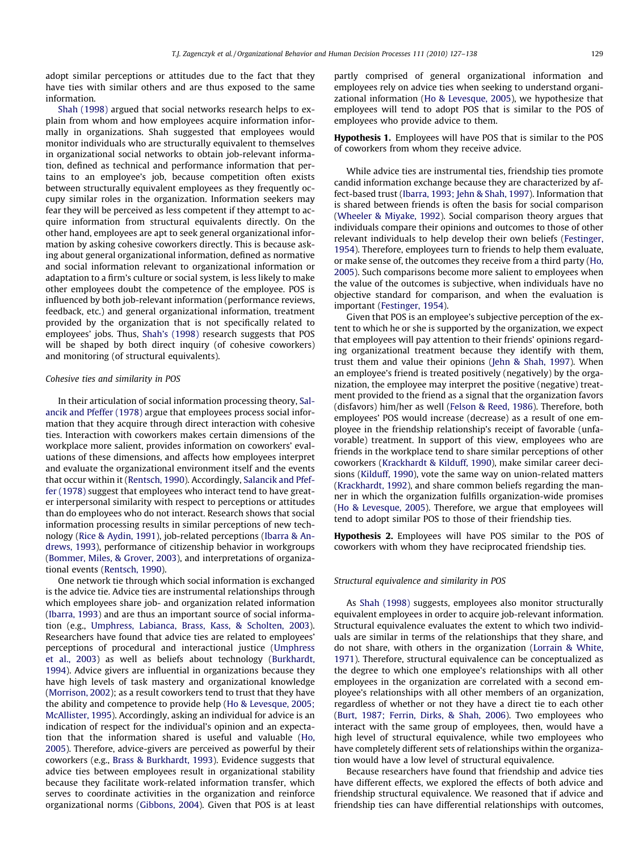<span id="page-2-0"></span>adopt similar perceptions or attitudes due to the fact that they have ties with similar others and are thus exposed to the same information.

[Shah \(1998\)](#page-11-0) argued that social networks research helps to explain from whom and how employees acquire information informally in organizations. Shah suggested that employees would monitor individuals who are structurally equivalent to themselves in organizational social networks to obtain job-relevant information, defined as technical and performance information that pertains to an employee's job, because competition often exists between structurally equivalent employees as they frequently occupy similar roles in the organization. Information seekers may fear they will be perceived as less competent if they attempt to acquire information from structural equivalents directly. On the other hand, employees are apt to seek general organizational information by asking cohesive coworkers directly. This is because asking about general organizational information, defined as normative and social information relevant to organizational information or adaptation to a firm's culture or social system, is less likely to make other employees doubt the competence of the employee. POS is influenced by both job-relevant information (performance reviews, feedback, etc.) and general organizational information, treatment provided by the organization that is not specifically related to employees' jobs. Thus, [Shah's \(1998\)](#page-11-0) research suggests that POS will be shaped by both direct inquiry (of cohesive coworkers) and monitoring (of structural equivalents).

# Cohesive ties and similarity in POS

In their articulation of social information processing theory, [Sal](#page-11-0)[ancik and Pfeffer \(1978\)](#page-11-0) argue that employees process social information that they acquire through direct interaction with cohesive ties. Interaction with coworkers makes certain dimensions of the workplace more salient, provides information on coworkers' evaluations of these dimensions, and affects how employees interpret and evaluate the organizational environment itself and the events that occur within it [\(Rentsch, 1990\)](#page-11-0). Accordingly, [Salancik and Pfef](#page-11-0)[fer \(1978\)](#page-11-0) suggest that employees who interact tend to have greater interpersonal similarity with respect to perceptions or attitudes than do employees who do not interact. Research shows that social information processing results in similar perceptions of new technology ([Rice & Aydin, 1991\)](#page-11-0), job-related perceptions ([Ibarra & An](#page-11-0)[drews, 1993](#page-11-0)), performance of citizenship behavior in workgroups ([Bommer, Miles, & Grover, 2003\)](#page-10-0), and interpretations of organizational events [\(Rentsch, 1990\)](#page-11-0).

One network tie through which social information is exchanged is the advice tie. Advice ties are instrumental relationships through which employees share job- and organization related information ([Ibarra, 1993\)](#page-11-0) and are thus an important source of social information (e.g., [Umphress, Labianca, Brass, Kass, & Scholten, 2003\)](#page-11-0). Researchers have found that advice ties are related to employees' perceptions of procedural and interactional justice [\(Umphress](#page-11-0) [et al., 2003](#page-11-0)) as well as beliefs about technology ([Burkhardt,](#page-10-0) [1994\)](#page-10-0). Advice givers are influential in organizations because they have high levels of task mastery and organizational knowledge ([Morrison, 2002\)](#page-11-0); as a result coworkers tend to trust that they have the ability and competence to provide help ([Ho & Levesque, 2005;](#page-11-0) [McAllister, 1995](#page-11-0)). Accordingly, asking an individual for advice is an indication of respect for the individual's opinion and an expectation that the information shared is useful and valuable ([Ho,](#page-11-0) [2005](#page-11-0)). Therefore, advice-givers are perceived as powerful by their coworkers (e.g., [Brass & Burkhardt, 1993\)](#page-10-0). Evidence suggests that advice ties between employees result in organizational stability because they facilitate work-related information transfer, which serves to coordinate activities in the organization and reinforce organizational norms [\(Gibbons, 2004](#page-10-0)). Given that POS is at least partly comprised of general organizational information and employees rely on advice ties when seeking to understand organizational information ([Ho & Levesque, 2005\)](#page-11-0), we hypothesize that employees will tend to adopt POS that is similar to the POS of employees who provide advice to them.

Hypothesis 1. Employees will have POS that is similar to the POS of coworkers from whom they receive advice.

While advice ties are instrumental ties, friendship ties promote candid information exchange because they are characterized by affect-based trust ([Ibarra, 1993; Jehn & Shah, 1997](#page-11-0)). Information that is shared between friends is often the basis for social comparison ([Wheeler & Miyake, 1992\)](#page-11-0). Social comparison theory argues that individuals compare their opinions and outcomes to those of other relevant individuals to help develop their own beliefs [\(Festinger,](#page-10-0) [1954\)](#page-10-0). Therefore, employees turn to friends to help them evaluate, or make sense of, the outcomes they receive from a third party ([Ho,](#page-11-0) [2005](#page-11-0)). Such comparisons become more salient to employees when the value of the outcomes is subjective, when individuals have no objective standard for comparison, and when the evaluation is important [\(Festinger, 1954](#page-10-0)).

Given that POS is an employee's subjective perception of the extent to which he or she is supported by the organization, we expect that employees will pay attention to their friends' opinions regarding organizational treatment because they identify with them, trust them and value their opinions ([Jehn & Shah, 1997](#page-11-0)). When an employee's friend is treated positively (negatively) by the organization, the employee may interpret the positive (negative) treatment provided to the friend as a signal that the organization favors (disfavors) him/her as well ([Felson & Reed, 1986\)](#page-10-0). Therefore, both employees' POS would increase (decrease) as a result of one employee in the friendship relationship's receipt of favorable (unfavorable) treatment. In support of this view, employees who are friends in the workplace tend to share similar perceptions of other coworkers [\(Krackhardt & Kilduff, 1990](#page-11-0)), make similar career decisions [\(Kilduff, 1990](#page-11-0)), vote the same way on union-related matters ([Krackhardt, 1992\)](#page-11-0), and share common beliefs regarding the manner in which the organization fulfills organization-wide promises ([Ho & Levesque, 2005\)](#page-11-0). Therefore, we argue that employees will tend to adopt similar POS to those of their friendship ties.

Hypothesis 2. Employees will have POS similar to the POS of coworkers with whom they have reciprocated friendship ties.

#### Structural equivalence and similarity in POS

As [Shah \(1998\)](#page-11-0) suggests, employees also monitor structurally equivalent employees in order to acquire job-relevant information. Structural equivalence evaluates the extent to which two individuals are similar in terms of the relationships that they share, and do not share, with others in the organization [\(Lorrain & White,](#page-11-0) [1971\)](#page-11-0). Therefore, structural equivalence can be conceptualized as the degree to which one employee's relationships with all other employees in the organization are correlated with a second employee's relationships with all other members of an organization, regardless of whether or not they have a direct tie to each other ([Burt, 1987; Ferrin, Dirks, & Shah, 2006\)](#page-10-0). Two employees who interact with the same group of employees, then, would have a high level of structural equivalence, while two employees who have completely different sets of relationships within the organization would have a low level of structural equivalence.

Because researchers have found that friendship and advice ties have different effects, we explored the effects of both advice and friendship structural equivalence. We reasoned that if advice and friendship ties can have differential relationships with outcomes,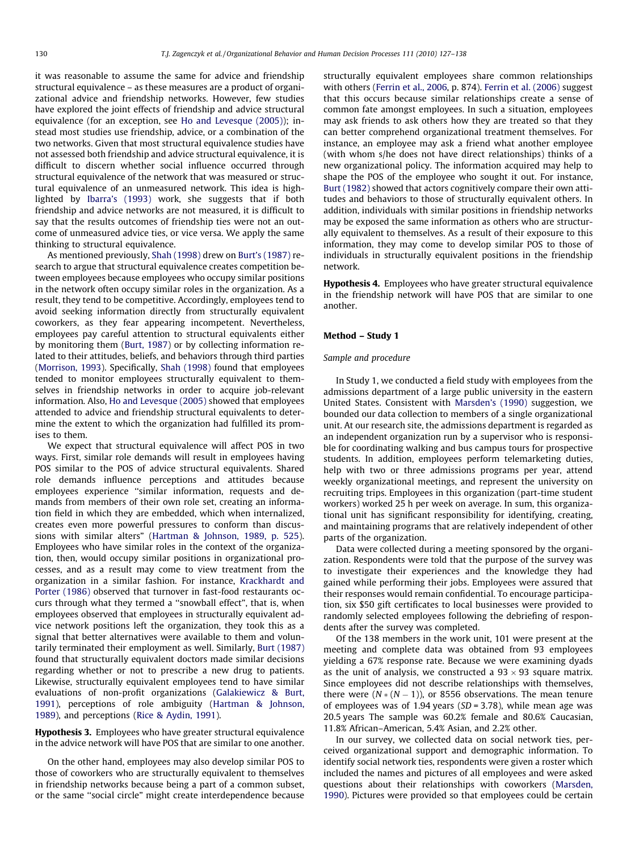<span id="page-3-0"></span>it was reasonable to assume the same for advice and friendship structural equivalence – as these measures are a product of organizational advice and friendship networks. However, few studies have explored the joint effects of friendship and advice structural equivalence (for an exception, see [Ho and Levesque \(2005\)\)](#page-11-0); instead most studies use friendship, advice, or a combination of the two networks. Given that most structural equivalence studies have not assessed both friendship and advice structural equivalence, it is difficult to discern whether social influence occurred through structural equivalence of the network that was measured or structural equivalence of an unmeasured network. This idea is highlighted by [Ibarra's \(1993\)](#page-11-0) work, she suggests that if both friendship and advice networks are not measured, it is difficult to say that the results outcomes of friendship ties were not an outcome of unmeasured advice ties, or vice versa. We apply the same thinking to structural equivalence.

As mentioned previously, [Shah \(1998\)](#page-11-0) drew on [Burt's \(1987\)](#page-10-0) research to argue that structural equivalence creates competition between employees because employees who occupy similar positions in the network often occupy similar roles in the organization. As a result, they tend to be competitive. Accordingly, employees tend to avoid seeking information directly from structurally equivalent coworkers, as they fear appearing incompetent. Nevertheless, employees pay careful attention to structural equivalents either by monitoring them [\(Burt, 1987](#page-10-0)) or by collecting information related to their attitudes, beliefs, and behaviors through third parties ([Morrison, 1993](#page-11-0)). Specifically, [Shah \(1998\)](#page-11-0) found that employees tended to monitor employees structurally equivalent to themselves in friendship networks in order to acquire job-relevant information. Also, [Ho and Levesque \(2005\)](#page-11-0) showed that employees attended to advice and friendship structural equivalents to determine the extent to which the organization had fulfilled its promises to them.

We expect that structural equivalence will affect POS in two ways. First, similar role demands will result in employees having POS similar to the POS of advice structural equivalents. Shared role demands influence perceptions and attitudes because employees experience ''similar information, requests and demands from members of their own role set, creating an information field in which they are embedded, which when internalized, creates even more powerful pressures to conform than discussions with similar alters" [\(Hartman & Johnson, 1989, p. 525\)](#page-11-0). Employees who have similar roles in the context of the organization, then, would occupy similar positions in organizational processes, and as a result may come to view treatment from the organization in a similar fashion. For instance, [Krackhardt and](#page-11-0) [Porter \(1986\)](#page-11-0) observed that turnover in fast-food restaurants occurs through what they termed a ''snowball effect", that is, when employees observed that employees in structurally equivalent advice network positions left the organization, they took this as a signal that better alternatives were available to them and voluntarily terminated their employment as well. Similarly, [Burt \(1987\)](#page-10-0) found that structurally equivalent doctors made similar decisions regarding whether or not to prescribe a new drug to patients. Likewise, structurally equivalent employees tend to have similar evaluations of non-profit organizations ([Galakiewicz & Burt,](#page-10-0) [1991\)](#page-10-0), perceptions of role ambiguity ([Hartman & Johnson,](#page-11-0) [1989\)](#page-11-0), and perceptions [\(Rice & Aydin, 1991](#page-11-0)).

Hypothesis 3. Employees who have greater structural equivalence in the advice network will have POS that are similar to one another.

On the other hand, employees may also develop similar POS to those of coworkers who are structurally equivalent to themselves in friendship networks because being a part of a common subset, or the same ''social circle" might create interdependence because structurally equivalent employees share common relationships with others ([Ferrin et al., 2006,](#page-10-0) p. 874). [Ferrin et al. \(2006\)](#page-10-0) suggest that this occurs because similar relationships create a sense of common fate amongst employees. In such a situation, employees may ask friends to ask others how they are treated so that they can better comprehend organizational treatment themselves. For instance, an employee may ask a friend what another employee (with whom s/he does not have direct relationships) thinks of a new organizational policy. The information acquired may help to shape the POS of the employee who sought it out. For instance, [Burt \(1982\)](#page-10-0) showed that actors cognitively compare their own attitudes and behaviors to those of structurally equivalent others. In addition, individuals with similar positions in friendship networks may be exposed the same information as others who are structurally equivalent to themselves. As a result of their exposure to this information, they may come to develop similar POS to those of individuals in structurally equivalent positions in the friendship network.

Hypothesis 4. Employees who have greater structural equivalence in the friendship network will have POS that are similar to one another.

# Method – Study 1

# Sample and procedure

In Study 1, we conducted a field study with employees from the admissions department of a large public university in the eastern United States. Consistent with [Marsden's \(1990\)](#page-11-0) suggestion, we bounded our data collection to members of a single organizational unit. At our research site, the admissions department is regarded as an independent organization run by a supervisor who is responsible for coordinating walking and bus campus tours for prospective students. In addition, employees perform telemarketing duties, help with two or three admissions programs per year, attend weekly organizational meetings, and represent the university on recruiting trips. Employees in this organization (part-time student workers) worked 25 h per week on average. In sum, this organizational unit has significant responsibility for identifying, creating, and maintaining programs that are relatively independent of other parts of the organization.

Data were collected during a meeting sponsored by the organization. Respondents were told that the purpose of the survey was to investigate their experiences and the knowledge they had gained while performing their jobs. Employees were assured that their responses would remain confidential. To encourage participation, six \$50 gift certificates to local businesses were provided to randomly selected employees following the debriefing of respondents after the survey was completed.

Of the 138 members in the work unit, 101 were present at the meeting and complete data was obtained from 93 employees yielding a 67% response rate. Because we were examining dyads as the unit of analysis, we constructed a  $93 \times 93$  square matrix. Since employees did not describe relationships with themselves, there were  $(N * (N - 1))$ , or 8556 observations. The mean tenure of employees was of 1.94 years ( $SD = 3.78$ ), while mean age was 20.5 years The sample was 60.2% female and 80.6% Caucasian, 11.8% African–American, 5.4% Asian, and 2.2% other.

In our survey, we collected data on social network ties, perceived organizational support and demographic information. To identify social network ties, respondents were given a roster which included the names and pictures of all employees and were asked questions about their relationships with coworkers ([Marsden,](#page-11-0) [1990\)](#page-11-0). Pictures were provided so that employees could be certain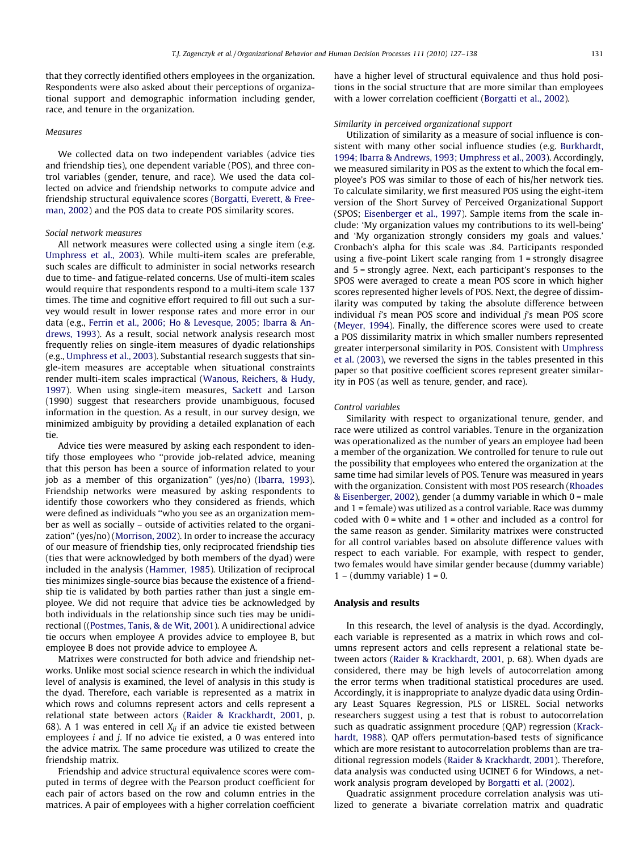that they correctly identified others employees in the organization. Respondents were also asked about their perceptions of organizational support and demographic information including gender, race, and tenure in the organization.

# Measures

We collected data on two independent variables (advice ties and friendship ties), one dependent variable (POS), and three control variables (gender, tenure, and race). We used the data collected on advice and friendship networks to compute advice and friendship structural equivalence scores ([Borgatti, Everett, & Free](#page-10-0)[man, 2002\)](#page-10-0) and the POS data to create POS similarity scores.

# Social network measures

All network measures were collected using a single item (e.g. [Umphress et al., 2003\)](#page-11-0). While multi-item scales are preferable, such scales are difficult to administer in social networks research due to time- and fatigue-related concerns. Use of multi-item scales would require that respondents respond to a multi-item scale 137 times. The time and cognitive effort required to fill out such a survey would result in lower response rates and more error in our data (e.g., [Ferrin et al., 2006; Ho & Levesque, 2005; Ibarra & An](#page-10-0)[drews, 1993\)](#page-10-0). As a result, social network analysis research most frequently relies on single-item measures of dyadic relationships (e.g., [Umphress et al., 2003\)](#page-11-0). Substantial research suggests that single-item measures are acceptable when situational constraints render multi-item scales impractical [\(Wanous, Reichers, & Hudy,](#page-11-0) [1997\)](#page-11-0). When using single-item measures, [Sackett](#page-11-0) and Larson (1990) suggest that researchers provide unambiguous, focused information in the question. As a result, in our survey design, we minimized ambiguity by providing a detailed explanation of each tie.

Advice ties were measured by asking each respondent to identify those employees who ''provide job-related advice, meaning that this person has been a source of information related to your job as a member of this organization" (yes/no) ([Ibarra, 1993\)](#page-11-0). Friendship networks were measured by asking respondents to identify those coworkers who they considered as friends, which were defined as individuals ''who you see as an organization member as well as socially – outside of activities related to the organization" (yes/no) [\(Morrison, 2002\)](#page-11-0). In order to increase the accuracy of our measure of friendship ties, only reciprocated friendship ties (ties that were acknowledged by both members of the dyad) were included in the analysis [\(Hammer, 1985\)](#page-10-0). Utilization of reciprocal ties minimizes single-source bias because the existence of a friendship tie is validated by both parties rather than just a single employee. We did not require that advice ties be acknowledged by both individuals in the relationship since such ties may be unidirectional ([\(Postmes, Tanis, & de Wit, 2001\)](#page-11-0). A unidirectional advice tie occurs when employee A provides advice to employee B, but employee B does not provide advice to employee A.

Matrixes were constructed for both advice and friendship networks. Unlike most social science research in which the individual level of analysis is examined, the level of analysis in this study is the dyad. Therefore, each variable is represented as a matrix in which rows and columns represent actors and cells represent a relational state between actors ([Raider & Krackhardt, 2001](#page-11-0), p. 68). A 1 was entered in cell  $X_{ij}$  if an advice tie existed between employees *i* and *j*. If no advice tie existed, a 0 was entered into the advice matrix. The same procedure was utilized to create the friendship matrix.

Friendship and advice structural equivalence scores were computed in terms of degree with the Pearson product coefficient for each pair of actors based on the row and column entries in the matrices. A pair of employees with a higher correlation coefficient have a higher level of structural equivalence and thus hold positions in the social structure that are more similar than employees with a lower correlation coefficient ([Borgatti et al., 2002](#page-10-0)).

#### Similarity in perceived organizational support

Utilization of similarity as a measure of social influence is consistent with many other social influence studies (e.g. [Burkhardt,](#page-10-0) [1994; Ibarra & Andrews, 1993; Umphress et al., 2003](#page-10-0)). Accordingly, we measured similarity in POS as the extent to which the focal employee's POS was similar to those of each of his/her network ties. To calculate similarity, we first measured POS using the eight-item version of the Short Survey of Perceived Organizational Support (SPOS; [Eisenberger et al., 1997](#page-10-0)). Sample items from the scale include: 'My organization values my contributions to its well-being' and 'My organization strongly considers my goals and values.' Cronbach's alpha for this scale was .84. Participants responded using a five-point Likert scale ranging from 1 = strongly disagree and 5 = strongly agree. Next, each participant's responses to the SPOS were averaged to create a mean POS score in which higher scores represented higher levels of POS. Next, the degree of dissimilarity was computed by taking the absolute difference between individual *i*'s mean POS score and individual *j*'s mean POS score ([Meyer, 1994\)](#page-11-0). Finally, the difference scores were used to create a POS dissimilarity matrix in which smaller numbers represented greater interpersonal similarity in POS. Consistent with [Umphress](#page-11-0) [et al. \(2003\),](#page-11-0) we reversed the signs in the tables presented in this paper so that positive coefficient scores represent greater similarity in POS (as well as tenure, gender, and race).

#### Control variables

Similarity with respect to organizational tenure, gender, and race were utilized as control variables. Tenure in the organization was operationalized as the number of years an employee had been a member of the organization. We controlled for tenure to rule out the possibility that employees who entered the organization at the same time had similar levels of POS. Tenure was measured in years with the organization. Consistent with most POS research ([Rhoades](#page-11-0) [& Eisenberger, 2002\)](#page-11-0), gender (a dummy variable in which 0 = male and 1 = female) was utilized as a control variable. Race was dummy coded with  $0 =$  white and  $1 =$  other and included as a control for the same reason as gender. Similarity matrixes were constructed for all control variables based on absolute difference values with respect to each variable. For example, with respect to gender, two females would have similar gender because (dummy variable) 1 – (dummy variable)  $1 = 0$ .

# Analysis and results

In this research, the level of analysis is the dyad. Accordingly, each variable is represented as a matrix in which rows and columns represent actors and cells represent a relational state between actors ([Raider & Krackhardt, 2001](#page-11-0), p. 68). When dyads are considered, there may be high levels of autocorrelation among the error terms when traditional statistical procedures are used. Accordingly, it is inappropriate to analyze dyadic data using Ordinary Least Squares Regression, PLS or LISREL. Social networks researchers suggest using a test that is robust to autocorrelation such as quadratic assignment procedure (QAP) regression ([Krack](#page-11-0)[hardt, 1988\)](#page-11-0). QAP offers permutation-based tests of significance which are more resistant to autocorrelation problems than are traditional regression models [\(Raider & Krackhardt, 2001](#page-11-0)). Therefore, data analysis was conducted using UCINET 6 for Windows, a network analysis program developed by [Borgatti et al. \(2002\).](#page-10-0)

Quadratic assignment procedure correlation analysis was utilized to generate a bivariate correlation matrix and quadratic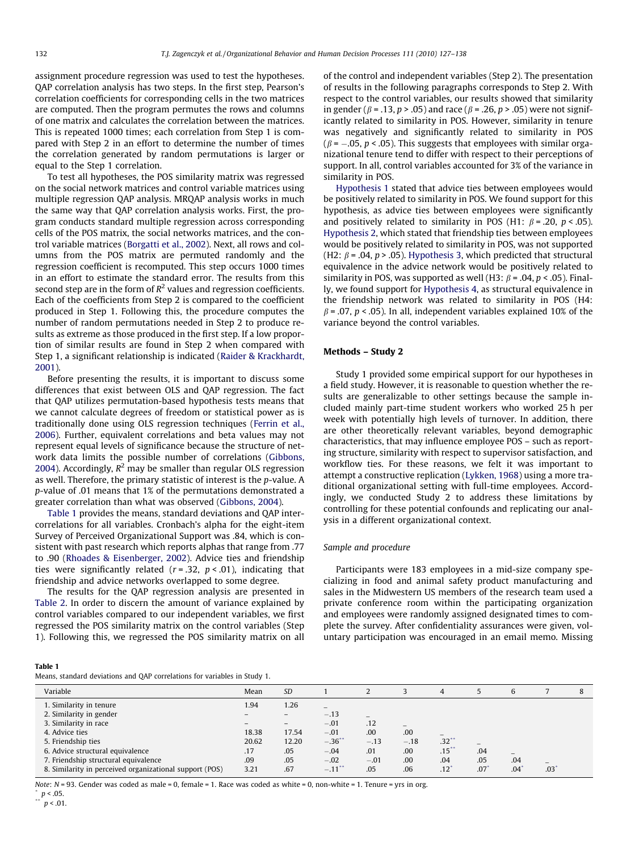assignment procedure regression was used to test the hypotheses. QAP correlation analysis has two steps. In the first step, Pearson's correlation coefficients for corresponding cells in the two matrices are computed. Then the program permutes the rows and columns of one matrix and calculates the correlation between the matrices. This is repeated 1000 times; each correlation from Step 1 is compared with Step 2 in an effort to determine the number of times the correlation generated by random permutations is larger or equal to the Step 1 correlation.

To test all hypotheses, the POS similarity matrix was regressed on the social network matrices and control variable matrices using multiple regression QAP analysis. MRQAP analysis works in much the same way that QAP correlation analysis works. First, the program conducts standard multiple regression across corresponding cells of the POS matrix, the social networks matrices, and the control variable matrices ([Borgatti et al., 2002](#page-10-0)). Next, all rows and columns from the POS matrix are permuted randomly and the regression coefficient is recomputed. This step occurs 1000 times in an effort to estimate the standard error. The results from this second step are in the form of  $R^2$  values and regression coefficients. Each of the coefficients from Step 2 is compared to the coefficient produced in Step 1. Following this, the procedure computes the number of random permutations needed in Step 2 to produce results as extreme as those produced in the first step. If a low proportion of similar results are found in Step 2 when compared with Step 1, a significant relationship is indicated ([Raider & Krackhardt,](#page-11-0) [2001\)](#page-11-0).

Before presenting the results, it is important to discuss some differences that exist between OLS and QAP regression. The fact that QAP utilizes permutation-based hypothesis tests means that we cannot calculate degrees of freedom or statistical power as is traditionally done using OLS regression techniques ([Ferrin et al.,](#page-10-0) [2006\)](#page-10-0). Further, equivalent correlations and beta values may not represent equal levels of significance because the structure of network data limits the possible number of correlations ([Gibbons,](#page-10-0) [2004\)](#page-10-0). Accordingly,  $R^2$  may be smaller than regular OLS regression as well. Therefore, the primary statistic of interest is the p-value. A p-value of .01 means that 1% of the permutations demonstrated a greater correlation than what was observed [\(Gibbons, 2004\)](#page-10-0).

Table 1 provides the means, standard deviations and QAP intercorrelations for all variables. Cronbach's alpha for the eight-item Survey of Perceived Organizational Support was .84, which is consistent with past research which reports alphas that range from .77 to .90 ([Rhoades & Eisenberger, 2002](#page-11-0)). Advice ties and friendship ties were significantly related ( $r = .32$ ,  $p < .01$ ), indicating that friendship and advice networks overlapped to some degree.

The results for the QAP regression analysis are presented in [Table 2.](#page-6-0) In order to discern the amount of variance explained by control variables compared to our independent variables, we first regressed the POS similarity matrix on the control variables (Step 1). Following this, we regressed the POS similarity matrix on all of the control and independent variables (Step 2). The presentation of results in the following paragraphs corresponds to Step 2. With respect to the control variables, our results showed that similarity in gender ( $\beta$  = .13, p > .05) and race ( $\beta$  = .26, p > .05) were not significantly related to similarity in POS. However, similarity in tenure was negatively and significantly related to similarity in POS ( $\beta$  = -.05, p < .05). This suggests that employees with similar organizational tenure tend to differ with respect to their perceptions of support. In all, control variables accounted for 3% of the variance in similarity in POS.

[Hypothesis 1](#page-2-0) stated that advice ties between employees would be positively related to similarity in POS. We found support for this hypothesis, as advice ties between employees were significantly and positively related to similarity in POS (H1:  $\beta$  = .20, p < .05). [Hypothesis 2,](#page-2-0) which stated that friendship ties between employees would be positively related to similarity in POS, was not supported (H2:  $\beta$  = .04, p > .05). [Hypothesis 3](#page-3-0), which predicted that structural equivalence in the advice network would be positively related to similarity in POS, was supported as well (H3:  $\beta$  = .04, p < .05). Finally, we found support for [Hypothesis 4](#page-3-0), as structural equivalence in the friendship network was related to similarity in POS (H4:  $\beta$  = .07, p < .05). In all, independent variables explained 10% of the variance beyond the control variables.

# Methods – Study 2

Study 1 provided some empirical support for our hypotheses in a field study. However, it is reasonable to question whether the results are generalizable to other settings because the sample included mainly part-time student workers who worked 25 h per week with potentially high levels of turnover. In addition, there are other theoretically relevant variables, beyond demographic characteristics, that may influence employee POS – such as reporting structure, similarity with respect to supervisor satisfaction, and workflow ties. For these reasons, we felt it was important to attempt a constructive replication ([Lykken, 1968\)](#page-11-0) using a more traditional organizational setting with full-time employees. Accordingly, we conducted Study 2 to address these limitations by controlling for these potential confounds and replicating our analysis in a different organizational context.

### Sample and procedure

Participants were 183 employees in a mid-size company specializing in food and animal safety product manufacturing and sales in the Midwestern US members of the research team used a private conference room within the participating organization and employees were randomly assigned designated times to complete the survey. After confidentiality assurances were given, voluntary participation was encouraged in an email memo. Missing

#### Table 1

Means, standard deviations and QAP correlations for variables in Study 1.

| Variable                                                | Mean              | <b>SD</b> |           |        |        | $\overline{4}$     |     | 6                        |                 | 8 |
|---------------------------------------------------------|-------------------|-----------|-----------|--------|--------|--------------------|-----|--------------------------|-----------------|---|
| 1. Similarity in tenure                                 | 1.94              | 1.26      |           |        |        |                    |     |                          |                 |   |
| 2. Similarity in gender                                 | $\qquad \qquad -$ | $-$       | $-.13$    |        |        |                    |     |                          |                 |   |
| 3. Similarity in race                                   | $-$               | $-$       | $-.01$    | .12    |        |                    |     |                          |                 |   |
| 4. Advice ties                                          | 18.38             | 17.54     | $-.01$    | .00    | .00    |                    |     |                          |                 |   |
| 5. Friendship ties                                      | 20.62             | 12.20     | $-.36$ ** | $-.13$ | $-.18$ | $.32$ **           |     |                          |                 |   |
| 6. Advice structural equivalence                        | .17               | .05       | $-.04$    | .01    | .00.   | $.15$ **           | .04 | $\overline{\phantom{a}}$ |                 |   |
| 7. Friendship structural equivalence                    | .09               | .05       | $-.02$    | $-.01$ | .00    | .04                | .05 | .04                      |                 |   |
| 8. Similarity in perceived organizational support (POS) | 3.21              | .67       | $-.11"$   | .05    | .06    | $.12$ <sup>'</sup> | .07 | $.04$ <sup>*</sup>       | $.03^{\degree}$ |   |

Note:  $N = 93$ . Gender was coded as male = 0, female = 1. Race was coded as white = 0, non-white = 1. Tenure = yrs in org.  $p < 0.05$ .

 $p < .01$ .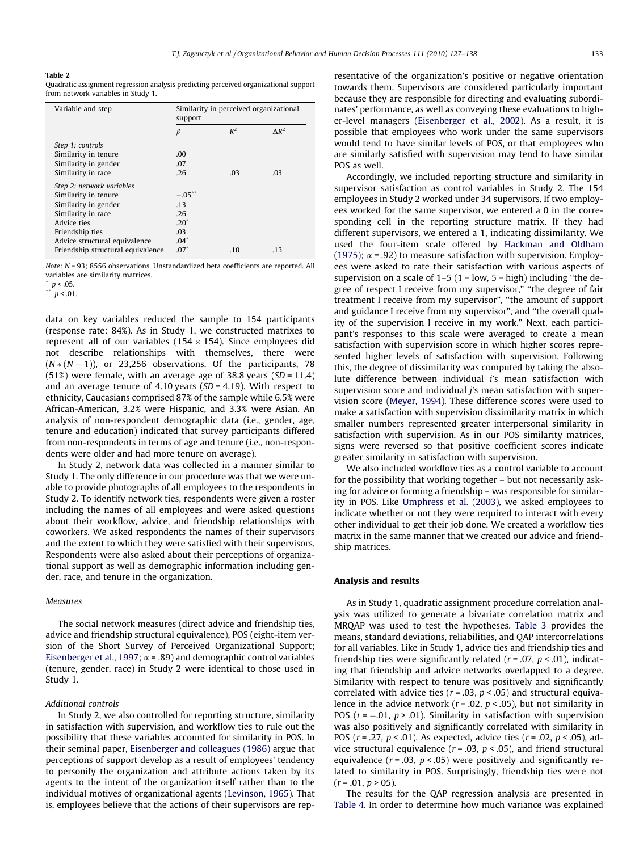#### <span id="page-6-0"></span>Table 2

Quadratic assignment regression analysis predicting perceived organizational support from network variables in Study 1.

| Variable and step                 | Similarity in perceived organizational<br>support |       |               |  |
|-----------------------------------|---------------------------------------------------|-------|---------------|--|
|                                   |                                                   | $R^2$ | $\Lambda R^2$ |  |
| Step 1: controls                  |                                                   |       |               |  |
| Similarity in tenure              | .00.                                              |       |               |  |
| Similarity in gender              | .07                                               |       |               |  |
| Similarity in race                | .26                                               | .03   | .03           |  |
| Step 2: network variables         |                                                   |       |               |  |
| Similarity in tenure              | $-.05$ <sup>*</sup>                               |       |               |  |
| Similarity in gender              | .13                                               |       |               |  |
| Similarity in race                | .26                                               |       |               |  |
| Advice ties                       | $.20^{\degree}$                                   |       |               |  |
| Friendship ties                   | .03                                               |       |               |  |
| Advice structural equivalence     | $.04$ <sup>*</sup>                                |       |               |  |
| Friendship structural equivalence | .07"                                              | .10   | .13           |  |

Note: N = 93; 8556 observations. Unstandardized beta coefficients are reported. All variables are similarity matrices.

 $p < 0.05$ .

In Study 2, network data was collected in a manner similar to Study 1. The only difference in our procedure was that we were unable to provide photographs of all employees to the respondents in Study 2. To identify network ties, respondents were given a roster including the names of all employees and were asked questions about their workflow, advice, and friendship relationships with coworkers. We asked respondents the names of their supervisors and the extent to which they were satisfied with their supervisors. Respondents were also asked about their perceptions of organizational support as well as demographic information including gender, race, and tenure in the organization.

## Measures

The social network measures (direct advice and friendship ties, advice and friendship structural equivalence), POS (eight-item version of the Short Survey of Perceived Organizational Support; [Eisenberger et al., 1997](#page-10-0);  $\alpha$  = .89) and demographic control variables (tenure, gender, race) in Study 2 were identical to those used in Study 1.

### Additional controls

In Study 2, we also controlled for reporting structure, similarity in satisfaction with supervision, and workflow ties to rule out the possibility that these variables accounted for similarity in POS. In their seminal paper, [Eisenberger and colleagues \(1986\)](#page-10-0) argue that perceptions of support develop as a result of employees' tendency to personify the organization and attribute actions taken by its agents to the intent of the organization itself rather than to the individual motives of organizational agents [\(Levinson, 1965](#page-11-0)). That is, employees believe that the actions of their supervisors are representative of the organization's positive or negative orientation towards them. Supervisors are considered particularly important because they are responsible for directing and evaluating subordinates' performance, as well as conveying these evaluations to higher-level managers ([Eisenberger et al., 2002](#page-10-0)). As a result, it is possible that employees who work under the same supervisors would tend to have similar levels of POS, or that employees who are similarly satisfied with supervision may tend to have similar POS as well.

Accordingly, we included reporting structure and similarity in supervisor satisfaction as control variables in Study 2. The 154 employees in Study 2 worked under 34 supervisors. If two employees worked for the same supervisor, we entered a 0 in the corresponding cell in the reporting structure matrix. If they had different supervisors, we entered a 1, indicating dissimilarity. We used the four-item scale offered by [Hackman and Oldham](#page-10-0) [\(1975\);](#page-10-0)  $\alpha$  = .92) to measure satisfaction with supervision. Employees were asked to rate their satisfaction with various aspects of supervision on a scale of  $1-5$  ( $1 = low$ ,  $5 = high$ ) including "the degree of respect I receive from my supervisor," ''the degree of fair treatment I receive from my supervisor", ''the amount of support and guidance I receive from my supervisor", and ''the overall quality of the supervision I receive in my work." Next, each participant's responses to this scale were averaged to create a mean satisfaction with supervision score in which higher scores represented higher levels of satisfaction with supervision. Following this, the degree of dissimilarity was computed by taking the absolute difference between individual *i*'s mean satisfaction with supervision score and individual j's mean satisfaction with supervision score [\(Meyer, 1994](#page-11-0)). These difference scores were used to make a satisfaction with supervision dissimilarity matrix in which smaller numbers represented greater interpersonal similarity in satisfaction with supervision. As in our POS similarity matrices, signs were reversed so that positive coefficient scores indicate greater similarity in satisfaction with supervision.

We also included workflow ties as a control variable to account for the possibility that working together – but not necessarily asking for advice or forming a friendship – was responsible for similarity in POS. Like [Umphress et al. \(2003\)](#page-11-0), we asked employees to indicate whether or not they were required to interact with every other individual to get their job done. We created a workflow ties matrix in the same manner that we created our advice and friendship matrices.

# Analysis and results

As in Study 1, quadratic assignment procedure correlation analysis was utilized to generate a bivariate correlation matrix and MRQAP was used to test the hypotheses. [Table 3](#page-7-0) provides the means, standard deviations, reliabilities, and QAP intercorrelations for all variables. Like in Study 1, advice ties and friendship ties and friendship ties were significantly related ( $r = .07$ ,  $p < .01$ ), indicating that friendship and advice networks overlapped to a degree. Similarity with respect to tenure was positively and significantly correlated with advice ties ( $r = .03$ ,  $p < .05$ ) and structural equivalence in the advice network ( $r = .02$ ,  $p < .05$ ), but not similarity in POS ( $r = -.01$ ,  $p > .01$ ). Similarity in satisfaction with supervision was also positively and significantly correlated with similarity in POS ( $r = .27$ ,  $p < .01$ ). As expected, advice ties ( $r = .02$ ,  $p < .05$ ), advice structural equivalence ( $r = .03$ ,  $p < .05$ ), and friend structural equivalence ( $r = .03$ ,  $p < .05$ ) were positively and significantly related to similarity in POS. Surprisingly, friendship ties were not  $(r = .01, p > 05)$ .

The results for the QAP regression analysis are presented in [Table 4](#page-7-0). In order to determine how much variance was explained

 $p < .01$ .

data on key variables reduced the sample to 154 participants (response rate: 84%). As in Study 1, we constructed matrixes to represent all of our variables (154  $\times$  154). Since employees did not describe relationships with themselves, there were  $(N * (N - 1))$ , or 23,256 observations. Of the participants, 78 (51%) were female, with an average age of 38.8 years (SD = 11.4) and an average tenure of 4.10 years ( $SD = 4.19$ ). With respect to ethnicity, Caucasians comprised 87% of the sample while 6.5% were African-American, 3.2% were Hispanic, and 3.3% were Asian. An analysis of non-respondent demographic data (i.e., gender, age, tenure and education) indicated that survey participants differed from non-respondents in terms of age and tenure (i.e., non-respondents were older and had more tenure on average).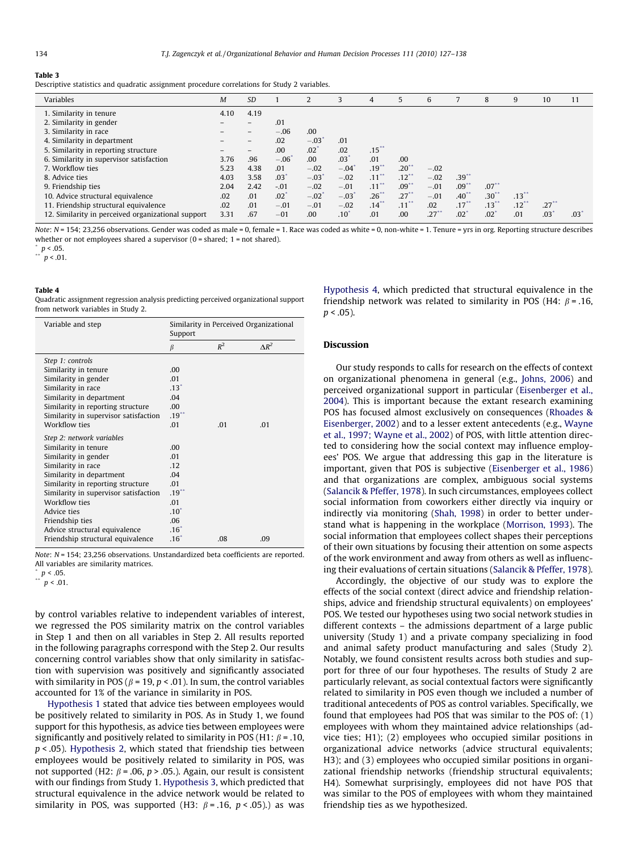#### <span id="page-7-0"></span>Table 3

Descriptive statistics and quadratic assignment procedure correlations for Study 2 variables.

| Variables                                          | M    | SD   |                     |                  | 3                | 4        | 5                   | 6        |                  | 8                | 9        | 10       | 11  |
|----------------------------------------------------|------|------|---------------------|------------------|------------------|----------|---------------------|----------|------------------|------------------|----------|----------|-----|
| 1. Similarity in tenure                            | 4.10 | 4.19 |                     |                  |                  |          |                     |          |                  |                  |          |          |     |
| 2. Similarity in gender                            | -    | -    | .01                 |                  |                  |          |                     |          |                  |                  |          |          |     |
| 3. Similarity in race                              |      | -    | $-.06$              | .00.             |                  |          |                     |          |                  |                  |          |          |     |
| 4. Similarity in department                        |      |      | .02                 | $-.03$           | .01              |          |                     |          |                  |                  |          |          |     |
| 5. Similarity in reporting structure               |      |      | .00                 | .02 <sup>2</sup> | .02              | $.15***$ |                     |          |                  |                  |          |          |     |
| 6. Similarity in supervisor satisfaction           | 3.76 | .96  | $-.06$ <sup>*</sup> | .00              | .03 <sup>′</sup> | .01      | .00.                |          |                  |                  |          |          |     |
| 7. Workflow ties                                   | 5.23 | 4.38 | .01                 | $-.02$           | $-.04$           | $.19***$ | $.20**$             | $-.02$   |                  |                  |          |          |     |
| 8. Advice ties                                     | 4.03 | 3.58 | .03'                | $-.03'$          | $-.02$           | $.11**$  | $.12***$            | $-.02$   | $.39**$          |                  |          |          |     |
| 9. Friendship ties                                 | 2.04 | 2.42 | $-.01$              | $-.02$           | $-.01$           | $.11***$ | $.09***$            | $-.01$   | $.09***$         | $.07**$          |          |          |     |
| 10. Advice structural equivalence                  | .02  | .01  | .02"                | $-.02"$          | $-.03"$          | $.26**$  | $.27***$            | $-.01$   | $.40^{**}$       | $.30^{*}$        | $.13**$  |          |     |
| 11. Friendship structural equivalence              | .02  | .01  | $-.01$              | $-.01$           | $-.02$           | $.14$ ** | $.11$ <sup>**</sup> | .02      | .17              | $.13***$         | $.12$ ** | $.27***$ |     |
| 12. Similarity in perceived organizational support | 3.31 | .67  | $-01$               | .00              | .10 <sup>°</sup> | .01      | .00                 | $.27***$ | .02 <sup>2</sup> | .02 <sup>2</sup> | .01      | .03      | .03 |

Note: N = 154; 23,256 observations. Gender was coded as male = 0, female = 1. Race was coded as white = 0, non-white = 1. Tenure = yrs in org. Reporting structure describes whether or not employees shared a supervisor  $(0 = \text{shared}; 1 = \text{not shared})$ .

 $p < .05.$ 

 $p < .01$ .

#### Table 4

Quadratic assignment regression analysis predicting perceived organizational support from network variables in Study 2.

| Variable and step                     | Similarity in Perceived Organizational<br>Support |       |              |  |
|---------------------------------------|---------------------------------------------------|-------|--------------|--|
|                                       | $\beta$                                           | $R^2$ | $\Delta R^2$ |  |
| Step 1: controls                      |                                                   |       |              |  |
| Similarity in tenure                  | .00.                                              |       |              |  |
| Similarity in gender                  | .01                                               |       |              |  |
| Similarity in race                    | $.13*$                                            |       |              |  |
| Similarity in department              | .04                                               |       |              |  |
| Similarity in reporting structure     | .00.                                              |       |              |  |
| Similarity in supervisor satisfaction | $.19***$                                          |       |              |  |
| Workflow ties                         | .01                                               | .01   | .01          |  |
| Step 2: network variables             |                                                   |       |              |  |
| Similarity in tenure                  | .00.                                              |       |              |  |
| Similarity in gender                  | .01                                               |       |              |  |
| Similarity in race                    | .12                                               |       |              |  |
| Similarity in department              | .04                                               |       |              |  |
| Similarity in reporting structure     | .01                                               |       |              |  |
| Similarity in supervisor satisfaction | $.19***$                                          |       |              |  |
| Workflow ties                         | .01                                               |       |              |  |
| Advice ties                           | $.10^{\circ}$                                     |       |              |  |
| Friendship ties                       | .06                                               |       |              |  |
| Advice structural equivalence         | $.16*$                                            |       |              |  |
| Friendship structural equivalence     | .16 <sup>°</sup>                                  | .08   | .09          |  |

Note: N = 154; 23,256 observations. Unstandardized beta coefficients are reported. All variables are similarity matrices.

 $p < .05$ .

 $p < .01.$ 

by control variables relative to independent variables of interest, we regressed the POS similarity matrix on the control variables in Step 1 and then on all variables in Step 2. All results reported in the following paragraphs correspond with the Step 2. Our results concerning control variables show that only similarity in satisfaction with supervision was positively and significantly associated with similarity in POS ( $\beta$  = 19,  $p$  < .01). In sum, the control variables accounted for 1% of the variance in similarity in POS.

[Hypothesis 1](#page-2-0) stated that advice ties between employees would be positively related to similarity in POS. As in Study 1, we found support for this hypothesis, as advice ties between employees were significantly and positively related to similarity in POS (H1:  $\beta$  = .10,  $p < .05$ ). [Hypothesis 2,](#page-2-0) which stated that friendship ties between employees would be positively related to similarity in POS, was not supported (H2:  $\beta$  = .06,  $p > .05$ .). Again, our result is consistent with our findings from Study 1. [Hypothesis 3](#page-3-0), which predicted that structural equivalence in the advice network would be related to similarity in POS, was supported (H3:  $\beta$  = .16, p < .05).) as was [Hypothesis 4,](#page-3-0) which predicted that structural equivalence in the friendship network was related to similarity in POS (H4:  $\beta$  = .16,  $p < .05$ ).

#### Discussion

Our study responds to calls for research on the effects of context on organizational phenomena in general (e.g., [Johns, 2006\)](#page-11-0) and perceived organizational support in particular [\(Eisenberger et al.,](#page-10-0) [2004\)](#page-10-0). This is important because the extant research examining POS has focused almost exclusively on consequences [\(Rhoades &](#page-11-0) [Eisenberger, 2002](#page-11-0)) and to a lesser extent antecedents (e.g., [Wayne](#page-11-0) [et al., 1997; Wayne et al., 2002](#page-11-0)) of POS, with little attention directed to considering how the social context may influence employees' POS. We argue that addressing this gap in the literature is important, given that POS is subjective ([Eisenberger et al., 1986\)](#page-10-0) and that organizations are complex, ambiguous social systems ([Salancik & Pfeffer, 1978\)](#page-11-0). In such circumstances, employees collect social information from coworkers either directly via inquiry or indirectly via monitoring [\(Shah, 1998](#page-11-0)) in order to better understand what is happening in the workplace [\(Morrison, 1993\)](#page-11-0). The social information that employees collect shapes their perceptions of their own situations by focusing their attention on some aspects of the work environment and away from others as well as influencing their evaluations of certain situations ([Salancik & Pfeffer, 1978\)](#page-11-0).

Accordingly, the objective of our study was to explore the effects of the social context (direct advice and friendship relationships, advice and friendship structural equivalents) on employees' POS. We tested our hypotheses using two social network studies in different contexts – the admissions department of a large public university (Study 1) and a private company specializing in food and animal safety product manufacturing and sales (Study 2). Notably, we found consistent results across both studies and support for three of our four hypotheses. The results of Study 2 are particularly relevant, as social contextual factors were significantly related to similarity in POS even though we included a number of traditional antecedents of POS as control variables. Specifically, we found that employees had POS that was similar to the POS of: (1) employees with whom they maintained advice relationships (advice ties; H1); (2) employees who occupied similar positions in organizational advice networks (advice structural equivalents; H3); and (3) employees who occupied similar positions in organizational friendship networks (friendship structural equivalents; H4). Somewhat surprisingly, employees did not have POS that was similar to the POS of employees with whom they maintained friendship ties as we hypothesized.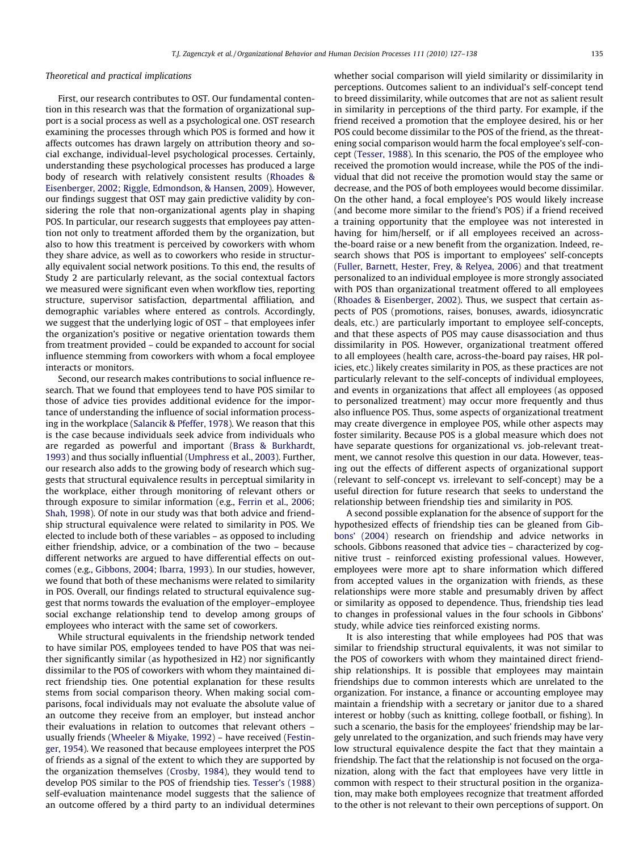#### Theoretical and practical implications

First, our research contributes to OST. Our fundamental contention in this research was that the formation of organizational support is a social process as well as a psychological one. OST research examining the processes through which POS is formed and how it affects outcomes has drawn largely on attribution theory and social exchange, individual-level psychological processes. Certainly, understanding these psychological processes has produced a large body of research with relatively consistent results ([Rhoades &](#page-11-0) [Eisenberger, 2002; Riggle, Edmondson, & Hansen, 2009](#page-11-0)). However, our findings suggest that OST may gain predictive validity by considering the role that non-organizational agents play in shaping POS. In particular, our research suggests that employees pay attention not only to treatment afforded them by the organization, but also to how this treatment is perceived by coworkers with whom they share advice, as well as to coworkers who reside in structurally equivalent social network positions. To this end, the results of Study 2 are particularly relevant, as the social contextual factors we measured were significant even when workflow ties, reporting structure, supervisor satisfaction, departmental affiliation, and demographic variables where entered as controls. Accordingly, we suggest that the underlying logic of OST – that employees infer the organization's positive or negative orientation towards them from treatment provided – could be expanded to account for social influence stemming from coworkers with whom a focal employee interacts or monitors.

Second, our research makes contributions to social influence research. That we found that employees tend to have POS similar to those of advice ties provides additional evidence for the importance of understanding the influence of social information processing in the workplace ([Salancik & Pfeffer, 1978](#page-11-0)). We reason that this is the case because individuals seek advice from individuals who are regarded as powerful and important [\(Brass & Burkhardt,](#page-10-0) [1993\)](#page-10-0) and thus socially influential ([Umphress et al., 2003\)](#page-11-0). Further, our research also adds to the growing body of research which suggests that structural equivalence results in perceptual similarity in the workplace, either through monitoring of relevant others or through exposure to similar information (e.g., [Ferrin et al., 2006;](#page-10-0) [Shah, 1998](#page-10-0)). Of note in our study was that both advice and friendship structural equivalence were related to similarity in POS. We elected to include both of these variables – as opposed to including either friendship, advice, or a combination of the two – because different networks are argued to have differential effects on outcomes (e.g., [Gibbons, 2004; Ibarra, 1993\)](#page-10-0). In our studies, however, we found that both of these mechanisms were related to similarity in POS. Overall, our findings related to structural equivalence suggest that norms towards the evaluation of the employer–employee social exchange relationship tend to develop among groups of employees who interact with the same set of coworkers.

While structural equivalents in the friendship network tended to have similar POS, employees tended to have POS that was neither significantly similar (as hypothesized in H2) nor significantly dissimilar to the POS of coworkers with whom they maintained direct friendship ties. One potential explanation for these results stems from social comparison theory. When making social comparisons, focal individuals may not evaluate the absolute value of an outcome they receive from an employer, but instead anchor their evaluations in relation to outcomes that relevant others – usually friends ([Wheeler & Miyake, 1992\)](#page-11-0) – have received ([Festin](#page-10-0)[ger, 1954\)](#page-10-0). We reasoned that because employees interpret the POS of friends as a signal of the extent to which they are supported by the organization themselves ([Crosby, 1984\)](#page-10-0), they would tend to develop POS similar to the POS of friendship ties. [Tesser's \(1988\)](#page-11-0) self-evaluation maintenance model suggests that the salience of an outcome offered by a third party to an individual determines whether social comparison will yield similarity or dissimilarity in perceptions. Outcomes salient to an individual's self-concept tend to breed dissimilarity, while outcomes that are not as salient result in similarity in perceptions of the third party. For example, if the friend received a promotion that the employee desired, his or her POS could become dissimilar to the POS of the friend, as the threatening social comparison would harm the focal employee's self-concept [\(Tesser, 1988](#page-11-0)). In this scenario, the POS of the employee who received the promotion would increase, while the POS of the individual that did not receive the promotion would stay the same or decrease, and the POS of both employees would become dissimilar. On the other hand, a focal employee's POS would likely increase (and become more similar to the friend's POS) if a friend received a training opportunity that the employee was not interested in having for him/herself, or if all employees received an acrossthe-board raise or a new benefit from the organization. Indeed, research shows that POS is important to employees' self-concepts ([Fuller, Barnett, Hester, Frey, & Relyea, 2006\)](#page-10-0) and that treatment personalized to an individual employee is more strongly associated with POS than organizational treatment offered to all employees ([Rhoades & Eisenberger, 2002](#page-11-0)). Thus, we suspect that certain aspects of POS (promotions, raises, bonuses, awards, idiosyncratic deals, etc.) are particularly important to employee self-concepts, and that these aspects of POS may cause disassociation and thus dissimilarity in POS. However, organizational treatment offered to all employees (health care, across-the-board pay raises, HR policies, etc.) likely creates similarity in POS, as these practices are not particularly relevant to the self-concepts of individual employees, and events in organizations that affect all employees (as opposed to personalized treatment) may occur more frequently and thus also influence POS. Thus, some aspects of organizational treatment may create divergence in employee POS, while other aspects may foster similarity. Because POS is a global measure which does not have separate questions for organizational vs. job-relevant treatment, we cannot resolve this question in our data. However, teasing out the effects of different aspects of organizational support (relevant to self-concept vs. irrelevant to self-concept) may be a useful direction for future research that seeks to understand the relationship between friendship ties and similarity in POS.

A second possible explanation for the absence of support for the hypothesized effects of friendship ties can be gleaned from [Gib](#page-10-0)[bons' \(2004\)](#page-10-0) research on friendship and advice networks in schools. Gibbons reasoned that advice ties – characterized by cognitive trust - reinforced existing professional values. However, employees were more apt to share information which differed from accepted values in the organization with friends, as these relationships were more stable and presumably driven by affect or similarity as opposed to dependence. Thus, friendship ties lead to changes in professional values in the four schools in Gibbons' study, while advice ties reinforced existing norms.

It is also interesting that while employees had POS that was similar to friendship structural equivalents, it was not similar to the POS of coworkers with whom they maintained direct friendship relationships. It is possible that employees may maintain friendships due to common interests which are unrelated to the organization. For instance, a finance or accounting employee may maintain a friendship with a secretary or janitor due to a shared interest or hobby (such as knitting, college football, or fishing). In such a scenario, the basis for the employees' friendship may be largely unrelated to the organization, and such friends may have very low structural equivalence despite the fact that they maintain a friendship. The fact that the relationship is not focused on the organization, along with the fact that employees have very little in common with respect to their structural position in the organization, may make both employees recognize that treatment afforded to the other is not relevant to their own perceptions of support. On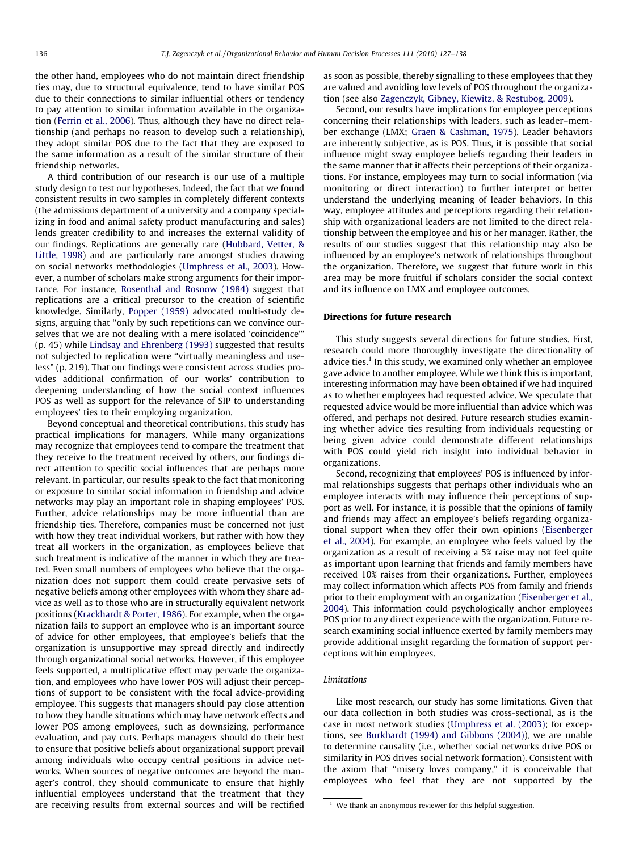the other hand, employees who do not maintain direct friendship ties may, due to structural equivalence, tend to have similar POS due to their connections to similar influential others or tendency to pay attention to similar information available in the organization ([Ferrin et al., 2006](#page-10-0)). Thus, although they have no direct relationship (and perhaps no reason to develop such a relationship), they adopt similar POS due to the fact that they are exposed to the same information as a result of the similar structure of their friendship networks.

A third contribution of our research is our use of a multiple study design to test our hypotheses. Indeed, the fact that we found consistent results in two samples in completely different contexts (the admissions department of a university and a company specializing in food and animal safety product manufacturing and sales) lends greater credibility to and increases the external validity of our findings. Replications are generally rare ([Hubbard, Vetter, &](#page-11-0) [Little, 1998](#page-11-0)) and are particularly rare amongst studies drawing on social networks methodologies [\(Umphress et al., 2003\)](#page-11-0). However, a number of scholars make strong arguments for their importance. For instance, [Rosenthal and Rosnow \(1984\)](#page-11-0) suggest that replications are a critical precursor to the creation of scientific knowledge. Similarly, [Popper \(1959\)](#page-11-0) advocated multi-study designs, arguing that ''only by such repetitions can we convince ourselves that we are not dealing with a mere isolated 'coincidence'" (p. 45) while [Lindsay and Ehrenberg \(1993\)](#page-11-0) suggested that results not subjected to replication were ''virtually meaningless and useless" (p. 219). That our findings were consistent across studies provides additional confirmation of our works' contribution to deepening understanding of how the social context influences POS as well as support for the relevance of SIP to understanding employees' ties to their employing organization.

Beyond conceptual and theoretical contributions, this study has practical implications for managers. While many organizations may recognize that employees tend to compare the treatment that they receive to the treatment received by others, our findings direct attention to specific social influences that are perhaps more relevant. In particular, our results speak to the fact that monitoring or exposure to similar social information in friendship and advice networks may play an important role in shaping employees' POS. Further, advice relationships may be more influential than are friendship ties. Therefore, companies must be concerned not just with how they treat individual workers, but rather with how they treat all workers in the organization, as employees believe that such treatment is indicative of the manner in which they are treated. Even small numbers of employees who believe that the organization does not support them could create pervasive sets of negative beliefs among other employees with whom they share advice as well as to those who are in structurally equivalent network positions [\(Krackhardt & Porter, 1986\)](#page-11-0). For example, when the organization fails to support an employee who is an important source of advice for other employees, that employee's beliefs that the organization is unsupportive may spread directly and indirectly through organizational social networks. However, if this employee feels supported, a multiplicative effect may pervade the organization, and employees who have lower POS will adjust their perceptions of support to be consistent with the focal advice-providing employee. This suggests that managers should pay close attention to how they handle situations which may have network effects and lower POS among employees, such as downsizing, performance evaluation, and pay cuts. Perhaps managers should do their best to ensure that positive beliefs about organizational support prevail among individuals who occupy central positions in advice networks. When sources of negative outcomes are beyond the manager's control, they should communicate to ensure that highly influential employees understand that the treatment that they are receiving results from external sources and will be rectified as soon as possible, thereby signalling to these employees that they are valued and avoiding low levels of POS throughout the organization (see also [Zagenczyk, Gibney, Kiewitz, & Restubog, 2009\)](#page-11-0).

Second, our results have implications for employee perceptions concerning their relationships with leaders, such as leader–member exchange (LMX; [Graen & Cashman, 1975\)](#page-10-0). Leader behaviors are inherently subjective, as is POS. Thus, it is possible that social influence might sway employee beliefs regarding their leaders in the same manner that it affects their perceptions of their organizations. For instance, employees may turn to social information (via monitoring or direct interaction) to further interpret or better understand the underlying meaning of leader behaviors. In this way, employee attitudes and perceptions regarding their relationship with organizational leaders are not limited to the direct relationship between the employee and his or her manager. Rather, the results of our studies suggest that this relationship may also be influenced by an employee's network of relationships throughout the organization. Therefore, we suggest that future work in this area may be more fruitful if scholars consider the social context and its influence on LMX and employee outcomes.

#### Directions for future research

This study suggests several directions for future studies. First, research could more thoroughly investigate the directionality of advice ties.<sup>1</sup> In this study, we examined only whether an employee gave advice to another employee. While we think this is important, interesting information may have been obtained if we had inquired as to whether employees had requested advice. We speculate that requested advice would be more influential than advice which was offered, and perhaps not desired. Future research studies examining whether advice ties resulting from individuals requesting or being given advice could demonstrate different relationships with POS could yield rich insight into individual behavior in organizations.

Second, recognizing that employees' POS is influenced by informal relationships suggests that perhaps other individuals who an employee interacts with may influence their perceptions of support as well. For instance, it is possible that the opinions of family and friends may affect an employee's beliefs regarding organizational support when they offer their own opinions [\(Eisenberger](#page-10-0) [et al., 2004](#page-10-0)). For example, an employee who feels valued by the organization as a result of receiving a 5% raise may not feel quite as important upon learning that friends and family members have received 10% raises from their organizations. Further, employees may collect information which affects POS from family and friends prior to their employment with an organization [\(Eisenberger et al.,](#page-10-0) [2004\)](#page-10-0). This information could psychologically anchor employees POS prior to any direct experience with the organization. Future research examining social influence exerted by family members may provide additional insight regarding the formation of support perceptions within employees.

#### **Limitations**

Like most research, our study has some limitations. Given that our data collection in both studies was cross-sectional, as is the case in most network studies [\(Umphress et al. \(2003\)](#page-11-0); for exceptions, see [Burkhardt \(1994\) and Gibbons \(2004\)\)](#page-10-0), we are unable to determine causality (i.e., whether social networks drive POS or similarity in POS drives social network formation). Consistent with the axiom that ''misery loves company," it is conceivable that employees who feel that they are not supported by the

 $1$  We thank an anonymous reviewer for this helpful suggestion.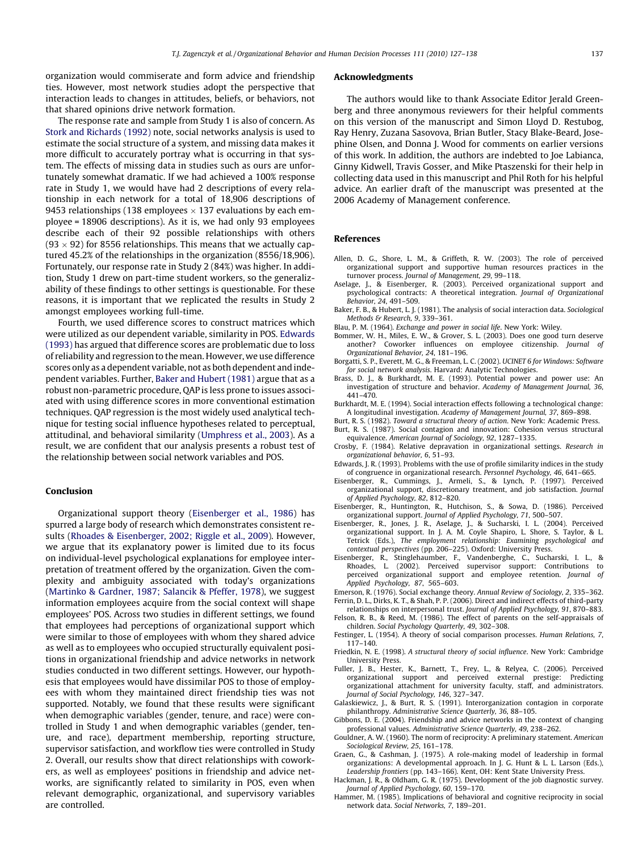<span id="page-10-0"></span>organization would commiserate and form advice and friendship ties. However, most network studies adopt the perspective that interaction leads to changes in attitudes, beliefs, or behaviors, not that shared opinions drive network formation.

The response rate and sample from Study 1 is also of concern. As [Stork and Richards \(1992\)](#page-11-0) note, social networks analysis is used to estimate the social structure of a system, and missing data makes it more difficult to accurately portray what is occurring in that system. The effects of missing data in studies such as ours are unfortunately somewhat dramatic. If we had achieved a 100% response rate in Study 1, we would have had 2 descriptions of every relationship in each network for a total of 18,906 descriptions of 9453 relationships (138 employees  $\times$  137 evaluations by each employee = 18906 descriptions). As it is, we had only 93 employees describe each of their 92 possible relationships with others (93  $\times$  92) for 8556 relationships. This means that we actually captured 45.2% of the relationships in the organization (8556/18,906). Fortunately, our response rate in Study 2 (84%) was higher. In addition, Study 1 drew on part-time student workers, so the generalizability of these findings to other settings is questionable. For these reasons, it is important that we replicated the results in Study 2 amongst employees working full-time.

Fourth, we used difference scores to construct matrices which were utilized as our dependent variable, similarity in POS. Edwards (1993) has argued that difference scores are problematic due to loss of reliability and regression to the mean. However, we use difference scores only as a dependent variable, not as both dependent and independent variables. Further, Baker and Hubert (1981) argue that as a robust non-parametric procedure, QAP is less prone to issues associated with using difference scores in more conventional estimation techniques. QAP regression is the most widely used analytical technique for testing social influence hypotheses related to perceptual, attitudinal, and behavioral similarity ([Umphress et al., 2003](#page-11-0)). As a result, we are confident that our analysis presents a robust test of the relationship between social network variables and POS.

# Conclusion

Organizational support theory (Eisenberger et al., 1986) has spurred a large body of research which demonstrates consistent results [\(Rhoades & Eisenberger, 2002; Riggle et al., 2009](#page-11-0)). However, we argue that its explanatory power is limited due to its focus on individual-level psychological explanations for employee interpretation of treatment offered by the organization. Given the complexity and ambiguity associated with today's organizations ([Martinko & Gardner, 1987; Salancik & Pfeffer, 1978](#page-11-0)), we suggest information employees acquire from the social context will shape employees' POS. Across two studies in different settings, we found that employees had perceptions of organizational support which were similar to those of employees with whom they shared advice as well as to employees who occupied structurally equivalent positions in organizational friendship and advice networks in network studies conducted in two different settings. However, our hypothesis that employees would have dissimilar POS to those of employees with whom they maintained direct friendship ties was not supported. Notably, we found that these results were significant when demographic variables (gender, tenure, and race) were controlled in Study 1 and when demographic variables (gender, tenure, and race), department membership, reporting structure, supervisor satisfaction, and workflow ties were controlled in Study 2. Overall, our results show that direct relationships with coworkers, as well as employees' positions in friendship and advice networks, are significantly related to similarity in POS, even when relevant demographic, organizational, and supervisory variables are controlled.

### Acknowledgments

The authors would like to thank Associate Editor Jerald Greenberg and three anonymous reviewers for their helpful comments on this version of the manuscript and Simon Lloyd D. Restubog, Ray Henry, Zuzana Sasovova, Brian Butler, Stacy Blake-Beard, Josephine Olsen, and Donna J. Wood for comments on earlier versions of this work. In addition, the authors are indebted to Joe Labianca, Ginny Kidwell, Travis Gosser, and Mike Ptaszenski for their help in collecting data used in this manuscript and Phil Roth for his helpful advice. An earlier draft of the manuscript was presented at the 2006 Academy of Management conference.

# References

- Allen, D. G., Shore, L. M., & Griffeth, R. W. (2003). The role of perceived organizational support and supportive human resources practices in the turnover process. Journal of Management, 29, 99–118.
- Aselage, J., & Eisenberger, R. (2003). Perceived organizational support and psychological contracts: A theoretical integration. Journal of Organizational Behavior, 24, 491–509.
- Baker, F. B., & Hubert, L. J. (1981). The analysis of social interaction data. Sociological Methods & Research, 9, 339–361.
- Blau, P. M. (1964). Exchange and power in social life. New York: Wiley.
- Bommer, W. H., Miles, E. W., & Grover, S. L. (2003). Does one good turn deserve another? Coworker influences on employee citizenship. Journal of Organizational Behavior, 24, 181–196.
- Borgatti, S. P., Everett, M. G., & Freeman, L. C. (2002). UCINET 6 for Windows: Software for social network analysis. Harvard: Analytic Technologies.
- Brass, D. J., & Burkhardt, M. E. (1993). Potential power and power use: An investigation of structure and behavior. Academy of Management Journal, 36, 441–470.
- Burkhardt, M. E. (1994). Social interaction effects following a technological change: A longitudinal investigation. Academy of Management Journal, 37, 869–898.
- Burt, R. S. (1982). Toward a structural theory of action. New York: Academic Press.
- Burt, R. S. (1987). Social contagion and innovation: Cohesion versus structural equivalence. American Journal of Sociology, 92, 1287–1335.
- Crosby, F. (1984). Relative depravation in organizational settings. Research in organizational behavior, 6, 51–93.
- Edwards, J. R. (1993). Problems with the use of profile similarity indices in the study of congruence in organizational research. Personnel Psychology, 46, 641–665.
- Eisenberger, R., Cummings, J., Armeli, S., & Lynch, P. (1997). Perceived organizational support, discretionary treatment, and job satisfaction. Journal of Applied Psychology, 82, 812–820.
- Eisenberger, R., Huntington, R., Hutchison, S., & Sowa, D. (1986). Perceived organizational support. Journal of Applied Psychology, 71, 500–507.
- Eisenberger, R., Jones, J. R., Aselage, J., & Sucharski, I. L. (2004). Perceived organizational support. In J. A. M. Coyle Shapiro, L. Shore, S. Taylor, & L. Tetrick (Eds.), The employment relationship: Examining psychological and contextual perspectives (pp. 206–225). Oxford: University Press.
- Eisenberger, R., Stinglehaumber, F., Vandenberghe, C., Sucharski, I. L., & Rhoades, L. (2002). Perceived supervisor support: Contributions perceived organizational support and employee retention. Journal of Applied Psychology, 87, 565–603.
- Emerson, R. (1976). Social exchange theory. Annual Review of Sociology, 2, 335–362. Ferrin, D. L., Dirks, K. T., & Shah, P. P. (2006). Direct and indirect effects of third-party
- relationships on interpersonal trust. Journal of Applied Psychology, 91, 870–883. Felson, R. B., & Reed, M. (1986). The effect of parents on the self-appraisals of
- children. Social Psychology Quarterly, 49, 302–308. Festinger, L. (1954). A theory of social comparison processes. Human Relations, 7, 117–140.
- Friedkin, N. E. (1998). A structural theory of social influence. New York: Cambridge University Press.
- Fuller, J. B., Hester, K., Barnett, T., Frey, L., & Relyea, C. (2006). Perceived organizational support and perceived external prestige: Predicting organizational attachment for university faculty, staff, and administrators. Journal of Social Psychology, 146, 327–347.
- Galaskiewicz, J., & Burt, R. S. (1991). Interorganization contagion in corporate philanthropy. Administrative Science Quarterly, 36, 88–105.
- Gibbons, D. E. (2004). Friendship and advice networks in the context of changing professional values. Administrative Science Quarterly, 49, 238–262.
- Gouldner, A. W. (1960). The norm of reciprocity: A preliminary statement. American Sociological Review, 25, 161–178.
- Graen, G., & Cashman, J. (1975). A role-making model of leadership in formal organizations: A developmental approach. In J. G. Hunt & L. L. Larson (Eds.), Leadership frontiers (pp. 143–166). Kent, OH: Kent State University Press.
- Hackman, J. R., & Oldham, G. R. (1975). Development of the job diagnostic survey. Journal of Applied Psychology, 60, 159–170.
- Hammer, M. (1985). Implications of behavioral and cognitive reciprocity in social network data. Social Networks, 7, 189–201.